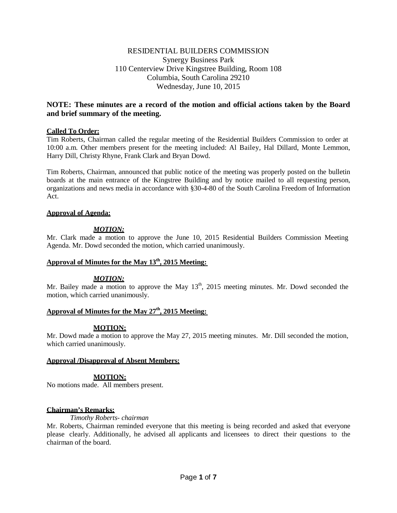# RESIDENTIAL BUILDERS COMMISSION Synergy Business Park 110 Centerview Drive Kingstree Building, Room 108 Columbia, South Carolina 29210 Wednesday, June 10, 2015

# **NOTE: These minutes are a record of the motion and official actions taken by the Board and brief summary of the meeting.**

## **Called To Order:**

Tim Roberts, Chairman called the regular meeting of the Residential Builders Commission to order at 10:00 a.m. Other members present for the meeting included: Al Bailey, Hal Dillard, Monte Lemmon, Harry Dill, Christy Rhyne, Frank Clark and Bryan Dowd.

Tim Roberts, Chairman, announced that public notice of the meeting was properly posted on the bulletin boards at the main entrance of the Kingstree Building and by notice mailed to all requesting person, organizations and news media in accordance with §30-4-80 of the South Carolina Freedom of Information Act.

## **Approval of Agenda:**

## *MOTION:*

Mr. Clark made a motion to approve the June 10, 2015 Residential Builders Commission Meeting Agenda. Mr. Dowd seconded the motion, which carried unanimously.

## **Approval of Minutes for the May 13th , 2015 Meeting:**

## *MOTION:*

Mr. Bailey made a motion to approve the May  $13<sup>th</sup>$ , 2015 meeting minutes. Mr. Dowd seconded the motion, which carried unanimously.

## **Approval of Minutes for the May 27th , 2015 Meeting:**

# **MOTION:**

Mr. Dowd made a motion to approve the May 27, 2015 meeting minutes. Mr. Dill seconded the motion, which carried unanimously.

## **Approval /Disapproval of Absent Members:**

# **MOTION:**

No motions made. All members present.

## **Chairman's Remarks:**

## *Timothy Roberts- chairman*

Mr. Roberts, Chairman reminded everyone that this meeting is being recorded and asked that everyone please clearly. Additionally, he advised all applicants and licensees to direct their questions to the chairman of the board.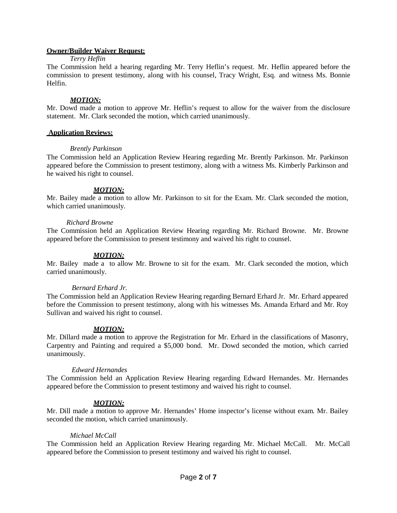# **Owner/Builder Waiver Request:**

### *Terry Heflin*

The Commission held a hearing regarding Mr. Terry Heflin's request. Mr. Heflin appeared before the commission to present testimony, along with his counsel, Tracy Wright, Esq. and witness Ms. Bonnie Helfin.

### *MOTION:*

Mr. Dowd made a motion to approve Mr. Heflin's request to allow for the waiver from the disclosure statement. Mr. Clark seconded the motion, which carried unanimously.

### **Application Reviews:**

### *Brently Parkinson*

The Commission held an Application Review Hearing regarding Mr. Brently Parkinson. Mr. Parkinson appeared before the Commission to present testimony, along with a witness Ms. Kimberly Parkinson and he waived his right to counsel.

## *MOTION:*

Mr. Bailey made a motion to allow Mr. Parkinson to sit for the Exam. Mr. Clark seconded the motion, which carried unanimously.

### *Richard Browne*

The Commission held an Application Review Hearing regarding Mr. Richard Browne. Mr. Browne appeared before the Commission to present testimony and waived his right to counsel.

### *MOTION:*

Mr. Bailey made a to allow Mr. Browne to sit for the exam. Mr. Clark seconded the motion, which carried unanimously.

#### *Bernard Erhard Jr.*

The Commission held an Application Review Hearing regarding Bernard Erhard Jr. Mr. Erhard appeared before the Commission to present testimony, along with his witnesses Ms. Amanda Erhard and Mr. Roy Sullivan and waived his right to counsel.

## *MOTION:*

Mr. Dillard made a motion to approve the Registration for Mr. Erhard in the classifications of Masonry, Carpentry and Painting and required a \$5,000 bond. Mr. Dowd seconded the motion, which carried unanimously.

## *Edward Hernandes*

The Commission held an Application Review Hearing regarding Edward Hernandes. Mr. Hernandes appeared before the Commission to present testimony and waived his right to counsel.

## *MOTION:*

Mr. Dill made a motion to approve Mr. Hernandes' Home inspector's license without exam. Mr. Bailey seconded the motion, which carried unanimously.

## *Michael McCall*

The Commission held an Application Review Hearing regarding Mr. Michael McCall. Mr. McCall appeared before the Commission to present testimony and waived his right to counsel.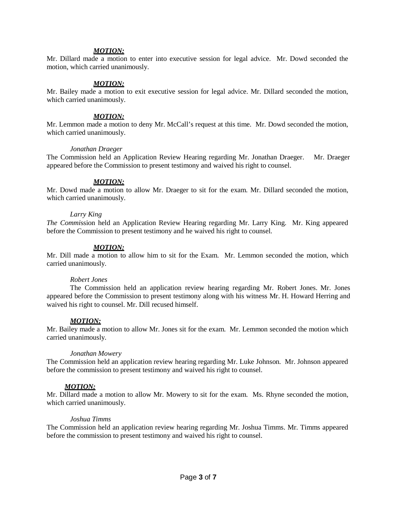## *MOTION:*

Mr. Dillard made a motion to enter into executive session for legal advice. Mr. Dowd seconded the motion, which carried unanimously.

### *MOTION:*

Mr. Bailey made a motion to exit executive session for legal advice. Mr. Dillard seconded the motion, which carried unanimously.

### *MOTION:*

Mr. Lemmon made a motion to deny Mr. McCall's request at this time. Mr. Dowd seconded the motion, which carried unanimously.

#### *Jonathan Draeger*

The Commission held an Application Review Hearing regarding Mr. Jonathan Draeger. Mr. Draeger appeared before the Commission to present testimony and waived his right to counsel.

#### *MOTION:*

Mr. Dowd made a motion to allow Mr. Draeger to sit for the exam. Mr. Dillard seconded the motion, which carried unanimously.

#### *Larry King*

*The Commi*ssion held an Application Review Hearing regarding Mr. Larry King. Mr. King appeared before the Commission to present testimony and he waived his right to counsel.

#### *MOTION:*

Mr. Dill made a motion to allow him to sit for the Exam. Mr. Lemmon seconded the motion, which carried unanimously.

#### *Robert Jones*

The Commission held an application review hearing regarding Mr. Robert Jones. Mr. Jones appeared before the Commission to present testimony along with his witness Mr. H. Howard Herring and waived his right to counsel. Mr. Dill recused himself.

#### *MOTION:*

Mr. Bailey made a motion to allow Mr. Jones sit for the exam. Mr. Lemmon seconded the motion which carried unanimously.

#### *Jonathan Mowery*

The Commission held an application review hearing regarding Mr. Luke Johnson. Mr. Johnson appeared before the commission to present testimony and waived his right to counsel.

### *MOTION:*

Mr. Dillard made a motion to allow Mr. Mowery to sit for the exam. Ms. Rhyne seconded the motion, which carried unanimously.

#### *Joshua Timms*

The Commission held an application review hearing regarding Mr. Joshua Timms. Mr. Timms appeared before the commission to present testimony and waived his right to counsel.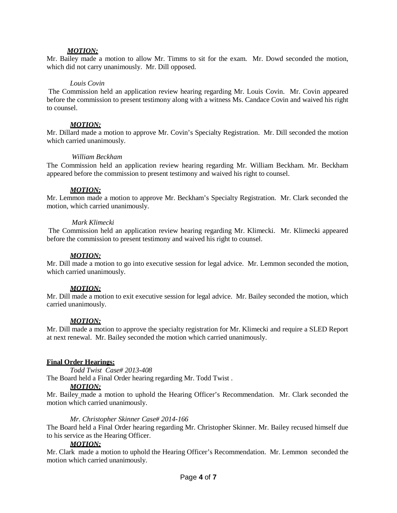### *MOTION:*

Mr. Bailey made a motion to allow Mr. Timms to sit for the exam. Mr. Dowd seconded the motion, which did not carry unanimously. Mr. Dill opposed.

#### *Louis Covin*

The Commission held an application review hearing regarding Mr. Louis Covin. Mr. Covin appeared before the commission to present testimony along with a witness Ms. Candace Covin and waived his right to counsel.

#### *MOTION:*

Mr. Dillard made a motion to approve Mr. Covin's Specialty Registration. Mr. Dill seconded the motion which carried unanimously.

### *William Beckham*

The Commission held an application review hearing regarding Mr. William Beckham. Mr. Beckham appeared before the commission to present testimony and waived his right to counsel.

#### *MOTION:*

Mr. Lemmon made a motion to approve Mr. Beckham's Specialty Registration. Mr. Clark seconded the motion, which carried unanimously.

#### *Mark Klimecki*

The Commission held an application review hearing regarding Mr. Klimecki. Mr. Klimecki appeared before the commission to present testimony and waived his right to counsel.

#### *MOTION:*

Mr. Dill made a motion to go into executive session for legal advice. Mr. Lemmon seconded the motion, which carried unanimously.

### *MOTION:*

Mr. Dill made a motion to exit executive session for legal advice. Mr. Bailey seconded the motion, which carried unanimously.

#### *MOTION:*

Mr. Dill made a motion to approve the specialty registration for Mr. Klimecki and require a SLED Report at next renewal. Mr. Bailey seconded the motion which carried unanimously.

#### **Final Order Hearings:**

*Todd Twist Case# 2013-408* The Board held a Final Order hearing regarding Mr. Todd Twist .

#### *MOTION:*

Mr. Bailey made a motion to uphold the Hearing Officer's Recommendation. Mr. Clark seconded the motion which carried unanimously.

#### *Mr. Christopher Skinner Case# 2014-166*

The Board held a Final Order hearing regarding Mr. Christopher Skinner. Mr. Bailey recused himself due to his service as the Hearing Officer.

#### *MOTION:*

Mr. Clark made a motion to uphold the Hearing Officer's Recommendation. Mr. Lemmon seconded the motion which carried unanimously.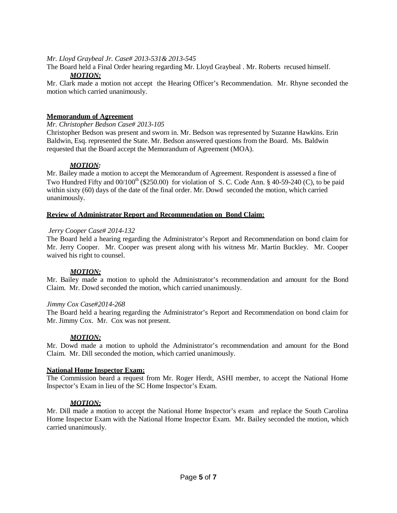## *Mr. Lloyd Graybeal Jr. Case# 2013-531& 2013-545*

The Board held a Final Order hearing regarding Mr. Lloyd Graybeal . Mr. Roberts recused himself.

# *MOTION:*

Mr. Clark made a motion not accept the Hearing Officer's Recommendation. Mr. Rhyne seconded the motion which carried unanimously.

## **Memorandum of Agreement**

*Mr. Christopher Bedson Case# 2013-105*

Christopher Bedson was present and sworn in. Mr. Bedson was represented by Suzanne Hawkins. Erin Baldwin, Esq. represented the State. Mr. Bedson answered questions from the Board. Ms. Baldwin requested that the Board accept the Memorandum of Agreement (MOA).

## *MOTION:*

Mr. Bailey made a motion to accept the Memorandum of Agreement. Respondent is assessed a fine of Two Hundred Fifty and  $00/100<sup>th</sup>$  (\$250.00) for violation of S. C. Code Ann. § 40-59-240 (C), to be paid within sixty (60) days of the date of the final order. Mr. Dowd seconded the motion, which carried unanimously.

## **Review of Administrator Report and Recommendation on Bond Claim:**

## *Jerry Cooper Case# 2014-132*

The Board held a hearing regarding the Administrator's Report and Recommendation on bond claim for Mr. Jerry Cooper. Mr. Cooper was present along with his witness Mr. Martin Buckley. Mr. Cooper waived his right to counsel.

## *MOTION:*

Mr. Bailey made a motion to uphold the Administrator's recommendation and amount for the Bond Claim. Mr. Dowd seconded the motion, which carried unanimously.

## *Jimmy Cox Case#2014-268*

The Board held a hearing regarding the Administrator's Report and Recommendation on bond claim for Mr. Jimmy Cox. Mr. Cox was not present.

## *MOTION:*

Mr. Dowd made a motion to uphold the Administrator's recommendation and amount for the Bond Claim. Mr. Dill seconded the motion, which carried unanimously.

## **National Home Inspector Exam:**

The Commission heard a request from Mr. Roger Herdt, ASHI member, to accept the National Home Inspector's Exam in lieu of the SC Home Inspector's Exam.

# *MOTION:*

Mr. Dill made a motion to accept the National Home Inspector's exam and replace the South Carolina Home Inspector Exam with the National Home Inspector Exam. Mr. Bailey seconded the motion, which carried unanimously.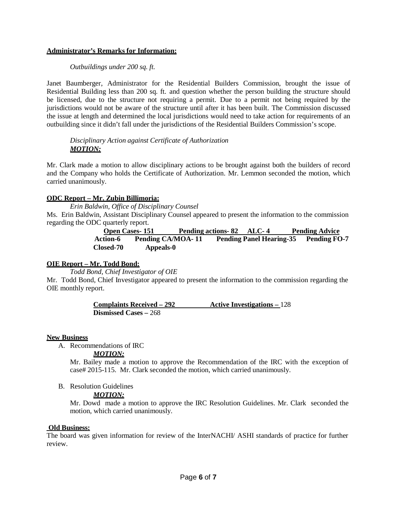## **Administrator's Remarks for Information:**

## *Outbuildings under 200 sq. ft.*

Janet Baumberger, Administrator for the Residential Builders Commission, brought the issue of Residential Building less than 200 sq. ft. and question whether the person building the structure should be licensed, due to the structure not requiring a permit. Due to a permit not being required by the jurisdictions would not be aware of the structure until after it has been built. The Commission discussed the issue at length and determined the local jurisdictions would need to take action for requirements of an outbuilding since it didn't fall under the jurisdictions of the Residential Builders Commission's scope.

*Disciplinary Action against Certificate of Authorization MOTION:*

Mr. Clark made a motion to allow disciplinary actions to be brought against both the builders of record and the Company who holds the Certificate of Authorization. Mr. Lemmon seconded the motion, which carried unanimously.

## **ODC Report – Mr. Zubin Billimoria:**

*Erin Baldwin, Office of Disciplinary Counsel*

Ms. Erin Baldwin, Assistant Disciplinary Counsel appeared to present the information to the commission regarding the ODC quarterly report.

> **Open Cases- 151 Pending actions- 82 ALC- 4 Pending Advice Action-6 Pending CA/MOA- 11 Pending Panel Hearing-35 Pending FO-7 Closed-70 Appeals-0**

# **OIE Report – Mr. Todd Bond:**

*Todd Bond, Chief Investigator of OIE*

Mr. Todd Bond, Chief Investigator appeared to present the information to the commission regarding the OIE monthly report.

> **Complaints Received – 292 Active Investigations –** 128 **Dismissed Cases –** 268

## **New Business**

A. Recommendations of IRC

## *MOTION:*

Mr. Bailey made a motion to approve the Recommendation of the IRC with the exception of case# 2015-115. Mr. Clark seconded the motion, which carried unanimously.

B. Resolution Guidelines

## *MOTION:*

Mr. Dowd made a motion to approve the IRC Resolution Guidelines. Mr. Clark seconded the motion, which carried unanimously.

# **Old Business:**

The board was given information for review of the InterNACHI/ ASHI standards of practice for further review.